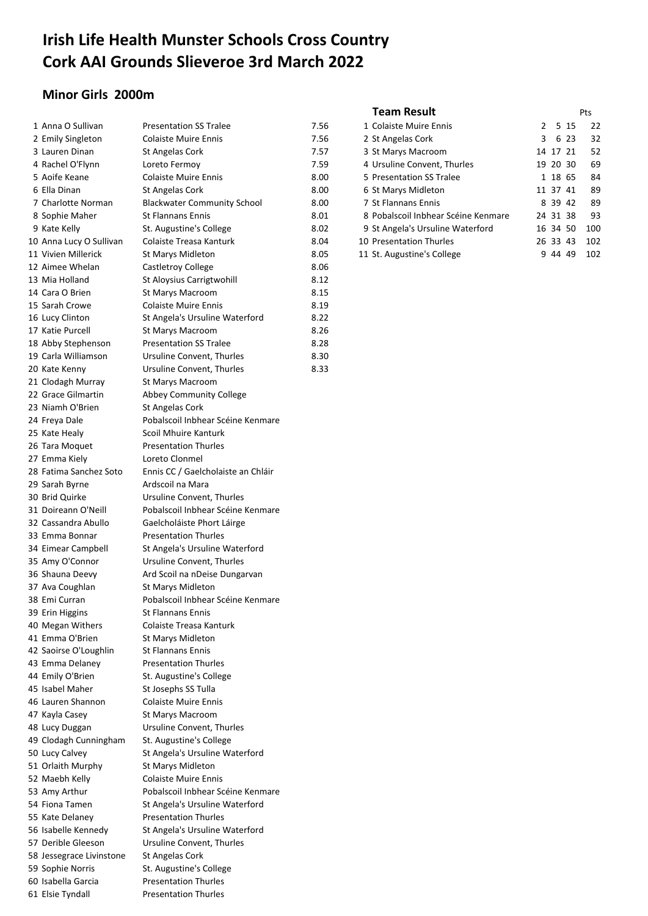# **Irish Life Health Munster Schools Cross Country Cork AAI Grounds Slieveroe 3rd March 2022**

## **Minor Girls 2000m**

| 1 Anna O Sullivan        | <b>Presentation SS Tralee</b>      | 7.56 | 1 Colaiste Muire Ennis              | 2 |          | 5 15 | 22  |
|--------------------------|------------------------------------|------|-------------------------------------|---|----------|------|-----|
| 2 Emily Singleton        | <b>Colaiste Muire Ennis</b>        | 7.56 | 2 St Angelas Cork                   | 3 |          | 6 23 | 32  |
| 3 Lauren Dinan           | St Angelas Cork                    | 7.57 | 3 St Marys Macroom                  |   | 14 17 21 |      | 52  |
| 4 Rachel O'Flynn         | Loreto Fermoy                      | 7.59 | 4 Ursuline Convent, Thurles         |   | 19 20 30 |      | 69  |
| 5 Aoife Keane            | <b>Colaiste Muire Ennis</b>        | 8.00 | 5 Presentation SS Tralee            |   | 1 18 65  |      | 84  |
| 6 Ella Dinan             | St Angelas Cork                    | 8.00 | 6 St Marys Midleton                 |   | 11 37 41 |      | 89  |
| 7 Charlotte Norman       | <b>Blackwater Community School</b> | 8.00 | 7 St Flannans Ennis                 |   | 8 39 42  |      | 89  |
| 8 Sophie Maher           | <b>St Flannans Ennis</b>           | 8.01 | 8 Pobalscoil Inbhear Scéine Kenmare |   | 24 31 38 |      | 93  |
| 9 Kate Kelly             | St. Augustine's College            | 8.02 | 9 St Angela's Ursuline Waterford    |   | 16 34 50 |      | 100 |
| 10 Anna Lucy O Sullivan  | Colaiste Treasa Kanturk            | 8.04 | 10 Presentation Thurles             |   | 26 33 43 |      | 102 |
| 11 Vivien Millerick      | St Marys Midleton                  | 8.05 | 11 St. Augustine's College          |   | 9 44 49  |      | 102 |
| 12 Aimee Whelan          | Castletroy College                 | 8.06 |                                     |   |          |      |     |
| 13 Mia Holland           | St Aloysius Carrigtwohill          | 8.12 |                                     |   |          |      |     |
| 14 Cara O Brien          | St Marys Macroom                   | 8.15 |                                     |   |          |      |     |
| 15 Sarah Crowe           | <b>Colaiste Muire Ennis</b>        | 8.19 |                                     |   |          |      |     |
| 16 Lucy Clinton          | St Angela's Ursuline Waterford     | 8.22 |                                     |   |          |      |     |
| 17 Katie Purcell         | St Marys Macroom                   | 8.26 |                                     |   |          |      |     |
| 18 Abby Stephenson       | <b>Presentation SS Tralee</b>      | 8.28 |                                     |   |          |      |     |
| 19 Carla Williamson      | Ursuline Convent, Thurles          | 8.30 |                                     |   |          |      |     |
| 20 Kate Kenny            | Ursuline Convent, Thurles          | 8.33 |                                     |   |          |      |     |
| 21 Clodagh Murray        | St Marys Macroom                   |      |                                     |   |          |      |     |
| 22 Grace Gilmartin       | <b>Abbey Community College</b>     |      |                                     |   |          |      |     |
| 23 Niamh O'Brien         | St Angelas Cork                    |      |                                     |   |          |      |     |
| 24 Freya Dale            | Pobalscoil Inbhear Scéine Kenmare  |      |                                     |   |          |      |     |
| 25 Kate Healy            | Scoil Mhuire Kanturk               |      |                                     |   |          |      |     |
| 26 Tara Moquet           | <b>Presentation Thurles</b>        |      |                                     |   |          |      |     |
| 27 Emma Kiely            | Loreto Clonmel                     |      |                                     |   |          |      |     |
| 28 Fatima Sanchez Soto   | Ennis CC / Gaelcholaiste an Chláir |      |                                     |   |          |      |     |
| 29 Sarah Byrne           | Ardscoil na Mara                   |      |                                     |   |          |      |     |
| 30 Brid Quirke           | Ursuline Convent, Thurles          |      |                                     |   |          |      |     |
| 31 Doireann O'Neill      | Pobalscoil Inbhear Scéine Kenmare  |      |                                     |   |          |      |     |
| 32 Cassandra Abullo      | Gaelcholáiste Phort Láirge         |      |                                     |   |          |      |     |
| 33 Emma Bonnar           | <b>Presentation Thurles</b>        |      |                                     |   |          |      |     |
| 34 Eimear Campbell       | St Angela's Ursuline Waterford     |      |                                     |   |          |      |     |
| 35 Amy O'Connor          | Ursuline Convent, Thurles          |      |                                     |   |          |      |     |
| 36 Shauna Deevy          | Ard Scoil na nDeise Dungarvan      |      |                                     |   |          |      |     |
| 37 Ava Coughlan          | St Marys Midleton                  |      |                                     |   |          |      |     |
| 38 Emi Curran            | Pobalscoil Inbhear Scéine Kenmare  |      |                                     |   |          |      |     |
| 39 Erin Higgins          | St Flannans Ennis                  |      |                                     |   |          |      |     |
| 40 Megan Withers         | Colaiste Treasa Kanturk            |      |                                     |   |          |      |     |
| 41 Emma O'Brien          | St Marys Midleton                  |      |                                     |   |          |      |     |
| 42 Saoirse O'Loughlin    | <b>St Flannans Ennis</b>           |      |                                     |   |          |      |     |
| 43 Emma Delaney          | <b>Presentation Thurles</b>        |      |                                     |   |          |      |     |
| 44 Emily O'Brien         | St. Augustine's College            |      |                                     |   |          |      |     |
| 45 Isabel Maher          | St Josephs SS Tulla                |      |                                     |   |          |      |     |
| 46 Lauren Shannon        | <b>Colaiste Muire Ennis</b>        |      |                                     |   |          |      |     |
| 47 Kayla Casey           | St Marys Macroom                   |      |                                     |   |          |      |     |
| 48 Lucy Duggan           | Ursuline Convent, Thurles          |      |                                     |   |          |      |     |
| 49 Clodagh Cunningham    | St. Augustine's College            |      |                                     |   |          |      |     |
| 50 Lucy Calvey           | St Angela's Ursuline Waterford     |      |                                     |   |          |      |     |
| 51 Orlaith Murphy        | St Marys Midleton                  |      |                                     |   |          |      |     |
| 52 Maebh Kelly           | <b>Colaiste Muire Ennis</b>        |      |                                     |   |          |      |     |
| 53 Amy Arthur            | Pobalscoil Inbhear Scéine Kenmare  |      |                                     |   |          |      |     |
| 54 Fiona Tamen           | St Angela's Ursuline Waterford     |      |                                     |   |          |      |     |
| 55 Kate Delaney          | <b>Presentation Thurles</b>        |      |                                     |   |          |      |     |
| 56 Isabelle Kennedy      | St Angela's Ursuline Waterford     |      |                                     |   |          |      |     |
| 57 Derible Gleeson       | Ursuline Convent, Thurles          |      |                                     |   |          |      |     |
| 58 Jessegrace Livinstone | St Angelas Cork                    |      |                                     |   |          |      |     |
| 59 Sophie Norris         | St. Augustine's College            |      |                                     |   |          |      |     |
| 60 Isabella Garcia       | <b>Presentation Thurles</b>        |      |                                     |   |          |      |     |
| 61 Elsie Tyndall         | <b>Presentation Thurles</b>        |      |                                     |   |          |      |     |
|                          |                                    |      |                                     |   |          |      |     |

#### **Team Result** Pts

| 1 Colaiste Muire Ennis              | $\mathcal{P}$ |          | 5 15 | 22  |
|-------------------------------------|---------------|----------|------|-----|
| 2 St Angelas Cork                   | 3             |          | 6 23 | 32  |
| 3 St Marys Macroom                  |               | 14 17 21 |      | 52  |
| 4 Ursuline Convent, Thurles         |               | 19 20 30 |      | 69  |
| 5 Presentation SS Tralee            |               | 1 18 65  |      | 84  |
| 6 St Marys Midleton                 |               | 11 37 41 |      | 89  |
| 7 St Flannans Ennis                 |               | 8 39 42  |      | 89  |
| 8 Pobalscoil Inbhear Scéine Kenmare |               | 24 31 38 |      | 93  |
| 9 St Angela's Ursuline Waterford    |               | 16 34 50 |      | 100 |
| 10 Presentation Thurles             |               | 26 33 43 |      | 102 |
| 11 St. Augustine's College          | g             | 44       | 49   | 102 |
|                                     |               |          |      |     |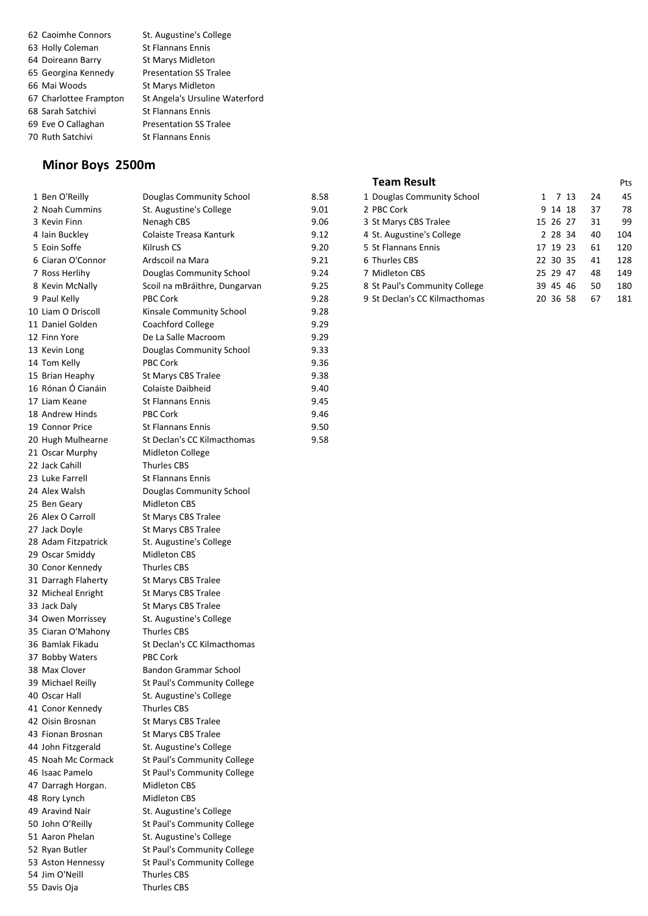Caoimhe Connors St. Augustine's College 63 Holly Coleman St Flannans Ennis 64 Doireann Barry St Marys Midleton Georgina Kennedy Presentation SS Tralee Mai Woods St Marys Midleton Charlottee Frampton St Angela's Ursuline Waterford 68 Sarah Satchivi St Flannans Ennis Eve O Callaghan Presentation SS Tralee 70 Ruth Satchivi St Flannans Ennis

#### **Minor Boys 2500m**

| 1 Ben O'Reilly      | Douglas Community School      | 8.58 |
|---------------------|-------------------------------|------|
| 2 Noah Cummins      | St. Augustine's College       | 9.01 |
| 3 Kevin Finn        | Nenagh CBS                    | 9.06 |
| 4 Iain Buckley      | Colaiste Treasa Kanturk       | 9.12 |
| 5 Eoin Soffe        | Kilrush CS                    | 9.20 |
| 6 Ciaran O'Connor   | Ardscoil na Mara              | 9.21 |
| 7 Ross Herlihy      | Douglas Community School      | 9.24 |
| 8 Kevin McNally     | Scoil na mBráithre, Dungarvan | 9.25 |
| 9 Paul Kelly        | <b>PBC Cork</b>               | 9.28 |
| 10 Liam O Driscoll  | Kinsale Community School      | 9.28 |
| 11 Daniel Golden    | Coachford College             | 9.29 |
| 12 Finn Yore        | De La Salle Macroom           | 9.29 |
| 13 Kevin Long       | Douglas Community School      | 9.33 |
| 14 Tom Kelly        | <b>PBC Cork</b>               | 9.36 |
| 15 Brian Heaphy     | St Marys CBS Tralee           | 9.38 |
| 16 Rónan Ó Cianáin  | Colaiste Daibheid             | 9.40 |
| 17 Liam Keane       | <b>St Flannans Ennis</b>      | 9.45 |
| 18 Andrew Hinds     | <b>PBC Cork</b>               | 9.46 |
| 19 Connor Price     | <b>St Flannans Ennis</b>      | 9.50 |
| 20 Hugh Mulhearne   | St Declan's CC Kilmacthomas   | 9.58 |
| 21 Oscar Murphy     | Midleton College              |      |
| 22 Jack Cahill      | <b>Thurles CBS</b>            |      |
| 23 Luke Farrell     | <b>St Flannans Ennis</b>      |      |
| 24 Alex Walsh       | Douglas Community School      |      |
| 25 Ben Geary        | <b>Midleton CBS</b>           |      |
| 26 Alex O Carroll   | St Marys CBS Tralee           |      |
| 27 Jack Doyle       | St Marys CBS Tralee           |      |
| 28 Adam Fitzpatrick | St. Augustine's College       |      |
| 29 Oscar Smiddy     | <b>Midleton CBS</b>           |      |
| 30 Conor Kennedy    | <b>Thurles CBS</b>            |      |
| 31 Darragh Flaherty | St Marys CBS Tralee           |      |
| 32 Micheal Enright  | St Marys CBS Tralee           |      |
| 33 Jack Daly        | St Marys CBS Tralee           |      |
| 34 Owen Morrissey   | St. Augustine's College       |      |
| 35 Ciaran O'Mahony  | <b>Thurles CBS</b>            |      |
| 36 Bamlak Fikadu    | St Declan's CC Kilmacthomas   |      |
| 37 Bobby Waters     | <b>PBC Cork</b>               |      |
| 38 Max Clover       | Bandon Grammar School         |      |
| 39 Michael Reilly   | St Paul's Community College   |      |
| 40 Oscar Hall       | St. Augustine's College       |      |
| 41 Conor Kennedy    | <b>Thurles CBS</b>            |      |
| 42 Oisin Brosnan    | St Marys CBS Tralee           |      |
| 43 Fionan Brosnan   | St Marys CBS Tralee           |      |
| 44 John Fitzgerald  | St. Augustine's College       |      |
| 45 Noah Mc Cormack  | St Paul's Community College   |      |
| 46 Isaac Pamelo     | St Paul's Community College   |      |
| 47 Darragh Horgan.  | <b>Midleton CBS</b>           |      |
| 48 Rory Lynch       | <b>Midleton CBS</b>           |      |
| 49 Aravind Nair     | St. Augustine's College       |      |
| 50 John O'Reilly    | St Paul's Community College   |      |
| 51 Aaron Phelan     | St. Augustine's College       |      |
| 52 Ryan Butler      | St Paul's Community College   |      |
| 53 Aston Hennessy   | St Paul's Community College   |      |
| 54 Jim O'Neill      | <b>Thurles CBS</b>            |      |
| 55 Davis Oja        | <b>Thurles CBS</b>            |      |
|                     |                               |      |

#### **Team Result** Pts

| 1 Ben O'Reilly    | Douglas Community School      | 8.58 | 1 Douglas Community School    | 1 7 13   | 24 | 45  |
|-------------------|-------------------------------|------|-------------------------------|----------|----|-----|
| 2 Noah Cummins    | St. Augustine's College       | 9.01 | 2 PBC Cork                    | 9 14 18  | 37 | 78  |
| 3 Kevin Finn      | Nenagh CBS                    | 9.06 | 3 St Marys CBS Tralee         | 15 26 27 | 31 | 99  |
| 4 Iain Buckley    | Colaiste Treasa Kanturk       | 9.12 | 4 St. Augustine's College     | 2 28 34  | 40 | 104 |
| 5 Eoin Soffe      | Kilrush CS                    | 9.20 | 5 St Flannans Ennis           | 17 19 23 | 61 | 120 |
| 6 Ciaran O'Connor | Ardscoil na Mara              | 9.21 | 6 Thurles CBS                 | 22 30 35 | 41 | 128 |
| 7 Ross Herlihy    | Douglas Community School      | 9.24 | 7 Midleton CBS                | 25 29 47 | 48 | 149 |
| 8 Kevin McNally   | Scoil na mBráithre, Dungarvan | 9.25 | 8 St Paul's Community College | 39 45 46 | 50 | 180 |
| 9 Paul Kelly      | <b>PBC Cork</b>               | 9.28 | 9 St Declan's CC Kilmacthomas | 20 36 58 | 67 | 181 |
|                   |                               |      |                               |          |    |     |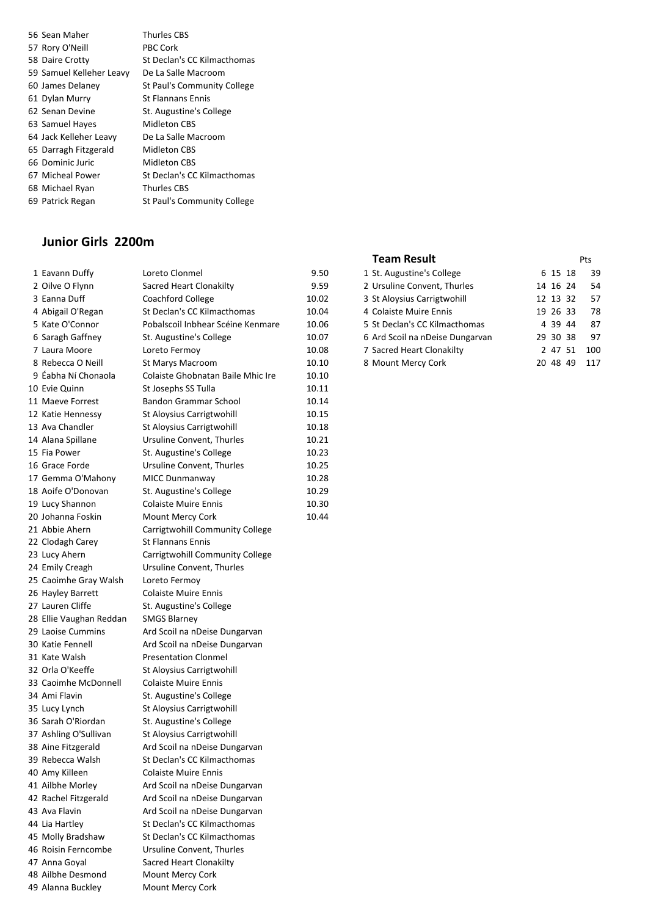| 56 Sean Maher            | <b>Thurles CBS</b>          |
|--------------------------|-----------------------------|
| 57 Rory O'Neill          | <b>PBC Cork</b>             |
| 58 Daire Crotty          | St Declan's CC Kilmacthomas |
| 59 Samuel Kelleher Leavy | De La Salle Macroom         |
| 60 James Delaney         | St Paul's Community College |
| 61 Dylan Murry           | <b>St Flannans Ennis</b>    |
| 62 Senan Devine          | St. Augustine's College     |
| 63 Samuel Hayes          | Midleton CBS                |
| 64 Jack Kelleher Leavy   | De La Salle Macroom         |
| 65 Darragh Fitzgerald    | <b>Midleton CBS</b>         |
| 66 Dominic Juric         | Midleton CBS                |
| 67 Micheal Power         | St Declan's CC Kilmacthomas |
| 68 Michael Ryan          | <b>Thurles CBS</b>          |
| 69 Patrick Regan         | St Paul's Community College |

## **Junior Girls 2200m**

| 1 Eavann Duffy          | Loreto Clonmel                    | 9.50  | 1 St. Augustine's College       | 6 15 18  | 39  |
|-------------------------|-----------------------------------|-------|---------------------------------|----------|-----|
| 2 Oilve O Flynn         | Sacred Heart Clonakilty           | 9.59  | 2 Ursuline Convent, Thurles     | 14 16 24 | 54  |
| 3 Eanna Duff            | Coachford College                 | 10.02 | 3 St Aloysius Carrigtwohill     | 12 13 32 | 57  |
| 4 Abigail O'Regan       | St Declan's CC Kilmacthomas       | 10.04 | 4 Colaiste Muire Ennis          | 19 26 33 | 78  |
| 5 Kate O'Connor         | Pobalscoil Inbhear Scéine Kenmare | 10.06 | 5 St Declan's CC Kilmacthomas   | 4 39 44  | 87  |
| 6 Saragh Gaffney        | St. Augustine's College           | 10.07 | 6 Ard Scoil na nDeise Dungarvan | 29 30 38 | 97  |
| 7 Laura Moore           | Loreto Fermoy                     | 10.08 | 7 Sacred Heart Clonakilty       | 2 47 51  | 100 |
| 8 Rebecca O Neill       | St Marys Macroom                  | 10.10 | 8 Mount Mercy Cork              | 20 48 49 | 117 |
| 9 Éabha Ní Chonaola     | Colaiste Ghobnatan Baile Mhic Ire | 10.10 |                                 |          |     |
| 10 Evie Quinn           | St Josephs SS Tulla               | 10.11 |                                 |          |     |
| 11 Maeve Forrest        | Bandon Grammar School             | 10.14 |                                 |          |     |
| 12 Katie Hennessy       | St Aloysius Carrigtwohill         | 10.15 |                                 |          |     |
| 13 Ava Chandler         | St Aloysius Carrigtwohill         | 10.18 |                                 |          |     |
| 14 Alana Spillane       | Ursuline Convent, Thurles         | 10.21 |                                 |          |     |
| 15 Fia Power            | St. Augustine's College           | 10.23 |                                 |          |     |
| 16 Grace Forde          | Ursuline Convent, Thurles         | 10.25 |                                 |          |     |
| 17 Gemma O'Mahony       | MICC Dunmanway                    | 10.28 |                                 |          |     |
| 18 Aoife O'Donovan      | St. Augustine's College           | 10.29 |                                 |          |     |
| 19 Lucy Shannon         | <b>Colaiste Muire Ennis</b>       | 10.30 |                                 |          |     |
| 20 Johanna Foskin       | Mount Mercy Cork                  | 10.44 |                                 |          |     |
| 21 Abbie Ahern          | Carrigtwohill Community College   |       |                                 |          |     |
| 22 Clodagh Carey        | <b>St Flannans Ennis</b>          |       |                                 |          |     |
| 23 Lucy Ahern           | Carrigtwohill Community College   |       |                                 |          |     |
| 24 Emily Creagh         | Ursuline Convent, Thurles         |       |                                 |          |     |
| 25 Caoimhe Gray Walsh   | Loreto Fermoy                     |       |                                 |          |     |
| 26 Hayley Barrett       | <b>Colaiste Muire Ennis</b>       |       |                                 |          |     |
| 27 Lauren Cliffe        | St. Augustine's College           |       |                                 |          |     |
| 28 Ellie Vaughan Reddan | <b>SMGS Blarney</b>               |       |                                 |          |     |
| 29 Laoise Cummins       | Ard Scoil na nDeise Dungarvan     |       |                                 |          |     |
| 30 Katie Fennell        | Ard Scoil na nDeise Dungarvan     |       |                                 |          |     |
| 31 Kate Walsh           | <b>Presentation Clonmel</b>       |       |                                 |          |     |
| 32 Orla O'Keeffe        | St Aloysius Carrigtwohill         |       |                                 |          |     |
| 33 Caoimhe McDonnell    | <b>Colaiste Muire Ennis</b>       |       |                                 |          |     |
| 34 Ami Flavin           | St. Augustine's College           |       |                                 |          |     |
| 35 Lucy Lynch           | St Aloysius Carrigtwohill         |       |                                 |          |     |
| 36 Sarah O'Riordan      | St. Augustine's College           |       |                                 |          |     |
| 37 Ashling O'Sullivan   | St Aloysius Carrigtwohill         |       |                                 |          |     |
| 38 Aine Fitzgerald      | Ard Scoil na nDeise Dungarvan     |       |                                 |          |     |
| 39 Rebecca Walsh        | St Declan's CC Kilmacthomas       |       |                                 |          |     |
| 40 Amy Killeen          | <b>Colaiste Muire Ennis</b>       |       |                                 |          |     |
| 41 Ailbhe Morley        | Ard Scoil na nDeise Dungarvan     |       |                                 |          |     |
| 42 Rachel Fitzgerald    | Ard Scoil na nDeise Dungarvan     |       |                                 |          |     |
| 43 Ava Flavin           | Ard Scoil na nDeise Dungarvan     |       |                                 |          |     |
| 44 Lia Hartley          | St Declan's CC Kilmacthomas       |       |                                 |          |     |
| 45 Molly Bradshaw       | St Declan's CC Kilmacthomas       |       |                                 |          |     |
| 46 Roisin Ferncombe     | Ursuline Convent, Thurles         |       |                                 |          |     |
| 47 Anna Goyal           | Sacred Heart Clonakilty           |       |                                 |          |     |
| 48 Ailbhe Desmond       | Mount Mercy Cork                  |       |                                 |          |     |
| 49 Alanna Buckley       | Mount Mercy Cork                  |       |                                 |          |     |
|                         |                                   |       |                                 |          |     |

| <b>Team Result</b> | Pts |
|--------------------|-----|
|                    |     |

| 1 Eavann Duffy    | Loreto Clonmel                    | 9.50  | 1 St. Augustine's College       | 6 15 18  | -39 |
|-------------------|-----------------------------------|-------|---------------------------------|----------|-----|
| 2 Oilve O Flynn   | Sacred Heart Clonakilty           | 9.59  | 2 Ursuline Convent, Thurles     | 14 16 24 | 54  |
| 3 Eanna Duff      | Coachford College                 | 10.02 | 3 St Aloysius Carrigtwohill     | 12 13 32 | 57  |
| 4 Abigail O'Regan | St Declan's CC Kilmacthomas       | 10.04 | 4 Colaiste Muire Ennis          | 19 26 33 | 78  |
| 5 Kate O'Connor   | Pobalscoil Inbhear Scéine Kenmare | 10.06 | 5 St Declan's CC Kilmacthomas   | 4 39 44  | -87 |
| 6 Saragh Gaffney  | St. Augustine's College           | 10.07 | 6 Ard Scoil na nDeise Dungarvan | 29 30 38 | -97 |
| 7 Laura Moore     | Loreto Fermov                     | 10.08 | 7 Sacred Heart Clonakilty       | 2 47 51  | 100 |
| 8 Rebecca O Neill | St Marys Macroom                  | 10.10 | 8 Mount Mercy Cork              | 20 48 49 | 117 |
|                   |                                   |       |                                 |          |     |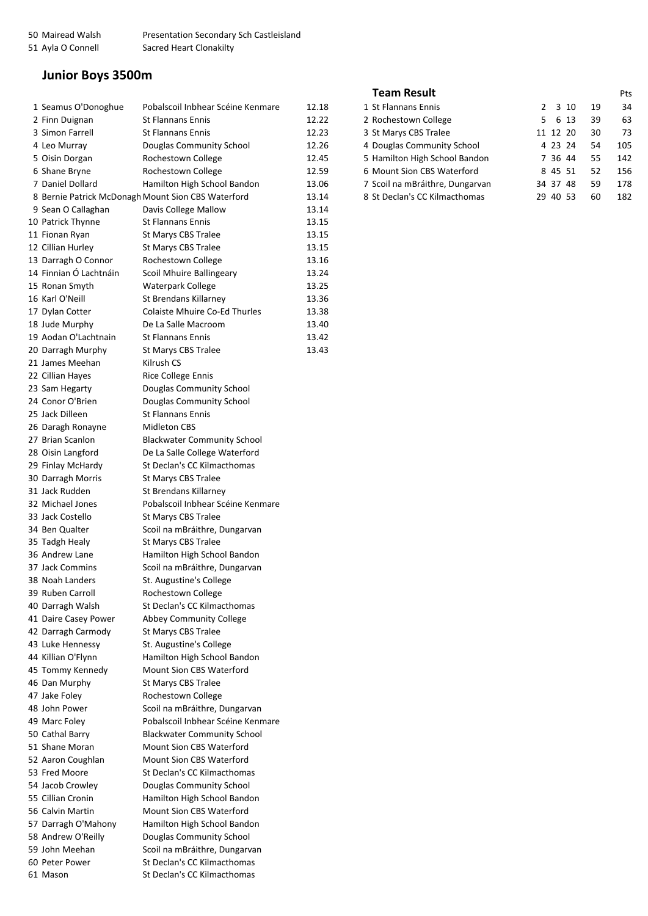## **Junior Boys 3500m**

| 1 Seamus O'Donoghue    | Pobalscoil Inbhear Scéine Kenmare                            | 12.18 | 1 St Flannans Ennis             | 2 | 3 10     | 19 | 34  |
|------------------------|--------------------------------------------------------------|-------|---------------------------------|---|----------|----|-----|
| 2 Finn Duignan         | <b>St Flannans Ennis</b>                                     | 12.22 | 2 Rochestown College            | 5 | 6 13     | 39 | 63  |
| 3 Simon Farrell        | <b>St Flannans Ennis</b>                                     | 12.23 | 3 St Marys CBS Tralee           |   | 11 12 20 | 30 | 73  |
| 4 Leo Murray           | Douglas Community School                                     | 12.26 | 4 Douglas Community School      |   | 4 23 24  | 54 | 105 |
| 5 Oisin Dorgan         | Rochestown College                                           | 12.45 | 5 Hamilton High School Bandon   |   | 7 36 44  | 55 | 142 |
| 6 Shane Bryne          | Rochestown College                                           | 12.59 | 6 Mount Sion CBS Waterford      |   | 8 45 51  | 52 | 156 |
| 7 Daniel Dollard       | Hamilton High School Bandon                                  | 13.06 | 7 Scoil na mBráithre, Dungarvan |   | 34 37 48 | 59 | 178 |
|                        | 8 Bernie Patrick McDonagh Mount Sion CBS Waterford           | 13.14 | 8 St Declan's CC Kilmacthomas   |   | 29 40 53 | 60 | 182 |
| 9 Sean O Callaghan     | Davis College Mallow                                         | 13.14 |                                 |   |          |    |     |
| 10 Patrick Thynne      | <b>St Flannans Ennis</b>                                     | 13.15 |                                 |   |          |    |     |
| 11 Fionan Ryan         | St Marys CBS Tralee                                          | 13.15 |                                 |   |          |    |     |
| 12 Cillian Hurley      | St Marys CBS Tralee                                          | 13.15 |                                 |   |          |    |     |
| 13 Darragh O Connor    | Rochestown College                                           | 13.16 |                                 |   |          |    |     |
| 14 Finnian Ó Lachtnáin | Scoil Mhuire Ballingeary                                     | 13.24 |                                 |   |          |    |     |
| 15 Ronan Smyth         | <b>Waterpark College</b>                                     | 13.25 |                                 |   |          |    |     |
| 16 Karl O'Neill        | St Brendans Killarney                                        | 13.36 |                                 |   |          |    |     |
| 17 Dylan Cotter        | Colaiste Mhuire Co-Ed Thurles                                | 13.38 |                                 |   |          |    |     |
| 18 Jude Murphy         | De La Salle Macroom                                          | 13.40 |                                 |   |          |    |     |
| 19 Aodan O'Lachtnain   | <b>St Flannans Ennis</b>                                     | 13.42 |                                 |   |          |    |     |
| 20 Darragh Murphy      | St Marys CBS Tralee                                          | 13.43 |                                 |   |          |    |     |
| 21 James Meehan        | Kilrush CS                                                   |       |                                 |   |          |    |     |
| 22 Cillian Hayes       | Rice College Ennis                                           |       |                                 |   |          |    |     |
| 23 Sam Hegarty         | Douglas Community School                                     |       |                                 |   |          |    |     |
| 24 Conor O'Brien       | Douglas Community School                                     |       |                                 |   |          |    |     |
| 25 Jack Dilleen        | <b>St Flannans Ennis</b>                                     |       |                                 |   |          |    |     |
| 26 Daragh Ronayne      | Midleton CBS                                                 |       |                                 |   |          |    |     |
| 27 Brian Scanlon       |                                                              |       |                                 |   |          |    |     |
|                        | <b>Blackwater Community School</b>                           |       |                                 |   |          |    |     |
| 28 Oisin Langford      | De La Salle College Waterford<br>St Declan's CC Kilmacthomas |       |                                 |   |          |    |     |
| 29 Finlay McHardy      |                                                              |       |                                 |   |          |    |     |
| 30 Darragh Morris      | St Marys CBS Tralee                                          |       |                                 |   |          |    |     |
| 31 Jack Rudden         | St Brendans Killarney                                        |       |                                 |   |          |    |     |
| 32 Michael Jones       | Pobalscoil Inbhear Scéine Kenmare                            |       |                                 |   |          |    |     |
| 33 Jack Costello       | St Marys CBS Tralee                                          |       |                                 |   |          |    |     |
| 34 Ben Qualter         | Scoil na mBráithre, Dungarvan                                |       |                                 |   |          |    |     |
| 35 Tadgh Healy         | St Marys CBS Tralee                                          |       |                                 |   |          |    |     |
| 36 Andrew Lane         | Hamilton High School Bandon                                  |       |                                 |   |          |    |     |
| 37 Jack Commins        | Scoil na mBráithre, Dungarvan                                |       |                                 |   |          |    |     |
| 38 Noah Landers        | St. Augustine's College                                      |       |                                 |   |          |    |     |
| 39 Ruben Carroll       | Rochestown College                                           |       |                                 |   |          |    |     |
| 40 Darragh Walsh       | St Declan's CC Kilmacthomas                                  |       |                                 |   |          |    |     |
| 41 Daire Casey Power   | <b>Abbey Community College</b>                               |       |                                 |   |          |    |     |
| 42 Darragh Carmody     | St Marys CBS Tralee                                          |       |                                 |   |          |    |     |
| 43 Luke Hennessy       | St. Augustine's College                                      |       |                                 |   |          |    |     |
| 44 Killian O'Flynn     | Hamilton High School Bandon                                  |       |                                 |   |          |    |     |
| 45 Tommy Kennedy       | Mount Sion CBS Waterford                                     |       |                                 |   |          |    |     |
| 46 Dan Murphy          | St Marys CBS Tralee                                          |       |                                 |   |          |    |     |
| 47 Jake Foley          | Rochestown College                                           |       |                                 |   |          |    |     |
| 48 John Power          | Scoil na mBráithre, Dungarvan                                |       |                                 |   |          |    |     |
| 49 Marc Foley          | Pobalscoil Inbhear Scéine Kenmare                            |       |                                 |   |          |    |     |
| 50 Cathal Barry        | <b>Blackwater Community School</b>                           |       |                                 |   |          |    |     |
| 51 Shane Moran         | Mount Sion CBS Waterford                                     |       |                                 |   |          |    |     |
| 52 Aaron Coughlan      | Mount Sion CBS Waterford                                     |       |                                 |   |          |    |     |
| 53 Fred Moore          | St Declan's CC Kilmacthomas                                  |       |                                 |   |          |    |     |
| 54 Jacob Crowley       | Douglas Community School                                     |       |                                 |   |          |    |     |
| 55 Cillian Cronin      | Hamilton High School Bandon                                  |       |                                 |   |          |    |     |
| 56 Calvin Martin       | Mount Sion CBS Waterford                                     |       |                                 |   |          |    |     |
| 57 Darragh O'Mahony    | Hamilton High School Bandon                                  |       |                                 |   |          |    |     |
| 58 Andrew O'Reilly     | Douglas Community School                                     |       |                                 |   |          |    |     |
| 59 John Meehan         | Scoil na mBráithre, Dungarvan                                |       |                                 |   |          |    |     |
| 60 Peter Power         | St Declan's CC Kilmacthomas                                  |       |                                 |   |          |    |     |
| 61 Mason               | St Declan's CC Kilmacthomas                                  |       |                                 |   |          |    |     |

| <b>Team Result</b>              |                       |    | Pts |
|---------------------------------|-----------------------|----|-----|
| 1 St Flannans Ennis             | 3 10<br>$\mathcal{L}$ | 19 | 34  |
| 2 Rochestown College            | 6 13<br>5.            | 39 | 63  |
| 3 St Marys CBS Tralee           | 11 12 20              | 30 | 73  |
| 4 Douglas Community School      | 4 23 24               | 54 | 105 |
| 5 Hamilton High School Bandon   | 7 36 44               | 55 | 142 |
| 6 Mount Sion CBS Waterford      | 8 45 51               | 52 | 156 |
| 7 Scoil na mBráithre, Dungarvan | 34 37 48              | 59 | 178 |
| 8 St Declan's CC Kilmacthomas   | 40 53<br>29.          | 60 | 182 |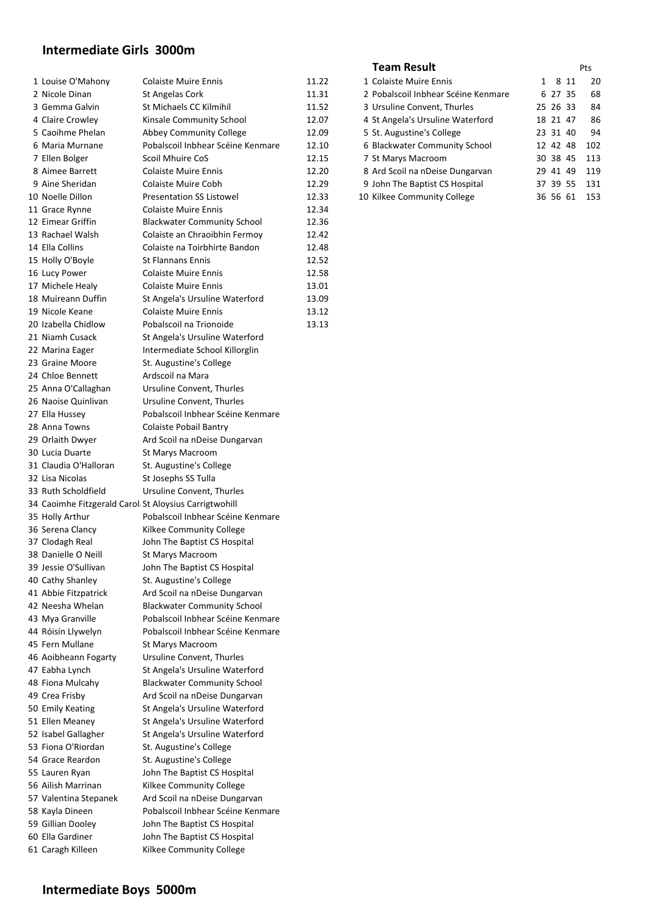## **Intermediate Girls 3000m**

| 1 Louise O'Mahony                                     | <b>Colaiste Muire Ennis</b>        | 11.22 | 1 Colaiste Muire Ennis              | 1 8 11   | 20           |
|-------------------------------------------------------|------------------------------------|-------|-------------------------------------|----------|--------------|
| 2 Nicole Dinan                                        | St Angelas Cork                    | 11.31 | 2 Pobalscoil Inbhear Scéine Kenmare | 6 27 35  | 68           |
| 3 Gemma Galvin                                        | St Michaels CC Kilmihil            | 11.52 | 3 Ursuline Convent, Thurles         | 25 26 33 | 84           |
| 4 Claire Crowley                                      | Kinsale Community School           | 12.07 | 4 St Angela's Ursuline Waterford    | 18 21 47 | 86           |
| 5 Caoihme Phelan                                      | Abbey Community College            | 12.09 | 5 St. Augustine's College           | 23 31 40 | 94           |
| 6 Maria Murnane                                       | Pobalscoil Inbhear Scéine Kenmare  | 12.10 | 6 Blackwater Community School       | 12 42 48 | 102          |
| 7 Ellen Bolger                                        | Scoil Mhuire CoS                   | 12.15 | 7 St Marys Macroom                  | 30 38 45 | 113          |
| 8 Aimee Barrett                                       | <b>Colaiste Muire Ennis</b>        | 12.20 | 8 Ard Scoil na nDeise Dungarvan     | 29 41 49 | 119          |
| 9 Aine Sheridan                                       | <b>Colaiste Muire Cobh</b>         | 12.29 | 9 John The Baptist CS Hospital      | 37 39 55 | 131          |
| 10 Noelle Dillon                                      | <b>Presentation SS Listowel</b>    | 12.33 | 10 Kilkee Community College         |          | 36 56 61 153 |
| 11 Grace Rynne                                        | <b>Colaiste Muire Ennis</b>        | 12.34 |                                     |          |              |
| 12 Eimear Griffin                                     | <b>Blackwater Community School</b> | 12.36 |                                     |          |              |
| 13 Rachael Walsh                                      | Colaiste an Chraoibhin Fermoy      | 12.42 |                                     |          |              |
| 14 Ella Collins                                       | Colaiste na Toirbhirte Bandon      | 12.48 |                                     |          |              |
|                                                       | <b>St Flannans Ennis</b>           |       |                                     |          |              |
| 15 Holly O'Boyle                                      |                                    | 12.52 |                                     |          |              |
| 16 Lucy Power                                         | <b>Colaiste Muire Ennis</b>        | 12.58 |                                     |          |              |
| 17 Michele Healy                                      | <b>Colaiste Muire Ennis</b>        | 13.01 |                                     |          |              |
| 18 Muireann Duffin                                    | St Angela's Ursuline Waterford     | 13.09 |                                     |          |              |
| 19 Nicole Keane                                       | <b>Colaiste Muire Ennis</b>        | 13.12 |                                     |          |              |
| 20 Izabella Chidlow                                   | Pobalscoil na Trionoide            | 13.13 |                                     |          |              |
| 21 Niamh Cusack                                       | St Angela's Ursuline Waterford     |       |                                     |          |              |
| 22 Marina Eager                                       | Intermediate School Killorglin     |       |                                     |          |              |
| 23 Graine Moore                                       | St. Augustine's College            |       |                                     |          |              |
| 24 Chloe Bennett                                      | Ardscoil na Mara                   |       |                                     |          |              |
| 25 Anna O'Callaghan                                   | Ursuline Convent, Thurles          |       |                                     |          |              |
| 26 Naoise Quinlivan                                   | Ursuline Convent, Thurles          |       |                                     |          |              |
| 27 Ella Hussey                                        | Pobalscoil Inbhear Scéine Kenmare  |       |                                     |          |              |
| 28 Anna Towns                                         | <b>Colaiste Pobail Bantry</b>      |       |                                     |          |              |
| 29 Orlaith Dwyer                                      | Ard Scoil na nDeise Dungarvan      |       |                                     |          |              |
| 30 Lucia Duarte                                       | St Marys Macroom                   |       |                                     |          |              |
| 31 Claudia O'Halloran                                 | St. Augustine's College            |       |                                     |          |              |
| 32 Lisa Nicolas                                       | St Josephs SS Tulla                |       |                                     |          |              |
| 33 Ruth Scholdfield                                   | Ursuline Convent, Thurles          |       |                                     |          |              |
| 34 Caoimhe Fitzgerald Carol St Aloysius Carrigtwohill |                                    |       |                                     |          |              |
| 35 Holly Arthur                                       | Pobalscoil Inbhear Scéine Kenmare  |       |                                     |          |              |
| 36 Serena Clancy                                      | Kilkee Community College           |       |                                     |          |              |
| 37 Clodagh Real                                       | John The Baptist CS Hospital       |       |                                     |          |              |
| 38 Danielle O Neill                                   | St Marys Macroom                   |       |                                     |          |              |
| 39 Jessie O'Sullivan                                  | John The Baptist CS Hospital       |       |                                     |          |              |
| 40 Cathy Shanley                                      | St. Augustine's College            |       |                                     |          |              |
| 41 Abbie Fitzpatrick                                  | Ard Scoil na nDeise Dungarvan      |       |                                     |          |              |
| 42 Neesha Whelan                                      | <b>Blackwater Community School</b> |       |                                     |          |              |
| 43 Mya Granville                                      | Pobalscoil Inbhear Scéine Kenmare  |       |                                     |          |              |
| 44 Róisín Llywelyn                                    | Pobalscoil Inbhear Scéine Kenmare  |       |                                     |          |              |
| 45 Fern Mullane                                       | St Marys Macroom                   |       |                                     |          |              |
| 46 Aoibheann Fogarty                                  | Ursuline Convent, Thurles          |       |                                     |          |              |
| 47 Eabha Lynch                                        | St Angela's Ursuline Waterford     |       |                                     |          |              |
| 48 Fiona Mulcahy                                      | <b>Blackwater Community School</b> |       |                                     |          |              |
| 49 Crea Frisby                                        | Ard Scoil na nDeise Dungarvan      |       |                                     |          |              |
| 50 Emily Keating                                      |                                    |       |                                     |          |              |
|                                                       | St Angela's Ursuline Waterford     |       |                                     |          |              |
| 51 Ellen Meaney                                       | St Angela's Ursuline Waterford     |       |                                     |          |              |
| 52 Isabel Gallagher                                   | St Angela's Ursuline Waterford     |       |                                     |          |              |
| 53 Fiona O'Riordan                                    | St. Augustine's College            |       |                                     |          |              |
| 54 Grace Reardon                                      | St. Augustine's College            |       |                                     |          |              |
| 55 Lauren Ryan                                        | John The Baptist CS Hospital       |       |                                     |          |              |
| 56 Ailish Marrinan                                    | Kilkee Community College           |       |                                     |          |              |
| 57 Valentina Stepanek                                 | Ard Scoil na nDeise Dungarvan      |       |                                     |          |              |
| 58 Kayla Dineen                                       | Pobalscoil Inbhear Scéine Kenmare  |       |                                     |          |              |
| 59 Gillian Dooley                                     | John The Baptist CS Hospital       |       |                                     |          |              |
| 60 Ella Gardiner                                      | John The Baptist CS Hospital       |       |                                     |          |              |
| 61 Caragh Killeen                                     | Kilkee Community College           |       |                                     |          |              |
|                                                       |                                    |       |                                     |          |              |

#### **Team Result** Pts

| 1 Colaiste Muire Ennis              | 1 |          | 811 | 20  |
|-------------------------------------|---|----------|-----|-----|
| 2 Pobalscoil Inbhear Scéine Kenmare |   | 6 27 35  |     | 68  |
| 3 Ursuline Convent, Thurles         |   | 25 26 33 |     | 84  |
| 4 St Angela's Ursuline Waterford    |   | 18 21 47 |     | 86  |
| 5 St. Augustine's College           |   | 23 31 40 |     | 94  |
| 6 Blackwater Community School       |   | 12 42 48 |     | 102 |
| 7 St Marys Macroom                  |   | 30 38 45 |     | 113 |
| 8 Ard Scoil na nDeise Dungarvan     |   | 29 41 49 |     | 119 |
| 9 John The Baptist CS Hospital      |   | 37 39 55 |     | 131 |
| 10 Kilkee Community College         |   | 36.56.   | 61  | 153 |
|                                     |   |          |     |     |

## **Intermediate Boys 5000m**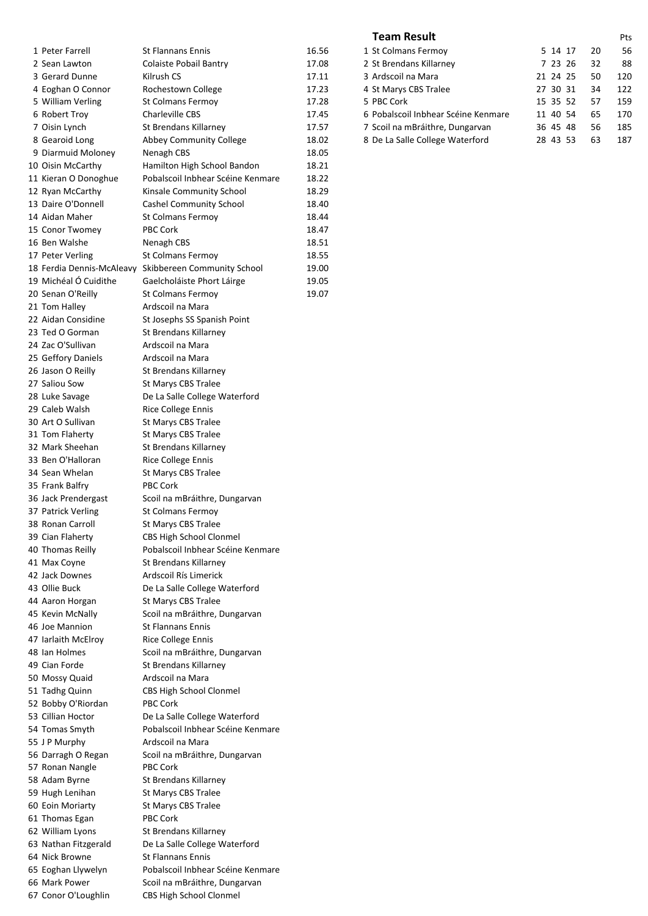| 1 Peter Farrell           | <b>St Flannans Ennis</b>          | 16.56 | 1 St Colmans Fermoy                 | 5 14 17  | 20 | 56              |
|---------------------------|-----------------------------------|-------|-------------------------------------|----------|----|-----------------|
| 2 Sean Lawton             | <b>Colaiste Pobail Bantry</b>     | 17.08 | 2 St Brendans Killarney             | 7 23 26  | 32 | 88              |
| 3 Gerard Dunne            | Kilrush CS                        | 17.11 | 3 Ardscoil na Mara                  | 21 24 25 | 50 | 12 <sub>C</sub> |
| 4 Eoghan O Connor         | Rochestown College                | 17.23 | 4 St Marys CBS Tralee               | 27 30 31 | 34 | 122             |
| 5 William Verling         | St Colmans Fermoy                 | 17.28 | 5 PBC Cork                          | 15 35 52 | 57 | 15 <sub>S</sub> |
| 6 Robert Troy             | <b>Charleville CBS</b>            | 17.45 | 6 Pobalscoil Inbhear Scéine Kenmare | 11 40 54 | 65 | 170             |
| 7 Oisin Lynch             | St Brendans Killarney             | 17.57 | 7 Scoil na mBráithre, Dungarvan     | 36 45 48 | 56 | 185             |
| 8 Gearoid Long            | Abbey Community College           | 18.02 | 8 De La Salle College Waterford     | 28 43 53 | 63 | 187             |
| 9 Diarmuid Moloney        | Nenagh CBS                        | 18.05 |                                     |          |    |                 |
| 10 Oisin McCarthy         | Hamilton High School Bandon       | 18.21 |                                     |          |    |                 |
| 11 Kieran O Donoghue      | Pobalscoil Inbhear Scéine Kenmare | 18.22 |                                     |          |    |                 |
| 12 Ryan McCarthy          | Kinsale Community School          | 18.29 |                                     |          |    |                 |
| 13 Daire O'Donnell        | <b>Cashel Community School</b>    | 18.40 |                                     |          |    |                 |
| 14 Aidan Maher            | St Colmans Fermoy                 | 18.44 |                                     |          |    |                 |
| 15 Conor Twomey           | PBC Cork                          | 18.47 |                                     |          |    |                 |
| 16 Ben Walshe             | Nenagh CBS                        | 18.51 |                                     |          |    |                 |
| 17 Peter Verling          | St Colmans Fermoy                 | 18.55 |                                     |          |    |                 |
| 18 Ferdia Dennis-McAleavy | Skibbereen Community School       | 19.00 |                                     |          |    |                 |
| 19 Michéal Ó Cuidithe     | Gaelcholáiste Phort Láirge        | 19.05 |                                     |          |    |                 |
| 20 Senan O'Reilly         | St Colmans Fermoy                 | 19.07 |                                     |          |    |                 |
| 21 Tom Halley             | Ardscoil na Mara                  |       |                                     |          |    |                 |
| 22 Aidan Considine        | St Josephs SS Spanish Point       |       |                                     |          |    |                 |
| 23 Ted O Gorman           | St Brendans Killarney             |       |                                     |          |    |                 |
| 24 Zac O'Sullivan         | Ardscoil na Mara                  |       |                                     |          |    |                 |
| 25 Geffory Daniels        | Ardscoil na Mara                  |       |                                     |          |    |                 |
| 26 Jason O Reilly         | St Brendans Killarney             |       |                                     |          |    |                 |
| 27 Saliou Sow             | St Marys CBS Tralee               |       |                                     |          |    |                 |
| 28 Luke Savage            | De La Salle College Waterford     |       |                                     |          |    |                 |
| 29 Caleb Walsh            | <b>Rice College Ennis</b>         |       |                                     |          |    |                 |
| 30 Art O Sullivan         | St Marys CBS Tralee               |       |                                     |          |    |                 |
| 31 Tom Flaherty           | St Marys CBS Tralee               |       |                                     |          |    |                 |
| 32 Mark Sheehan           | St Brendans Killarney             |       |                                     |          |    |                 |
| 33 Ben O'Halloran         | <b>Rice College Ennis</b>         |       |                                     |          |    |                 |
| 34 Sean Whelan            | St Marys CBS Tralee               |       |                                     |          |    |                 |
| 35 Frank Balfry           | <b>PBC Cork</b>                   |       |                                     |          |    |                 |
| 36 Jack Prendergast       | Scoil na mBráithre, Dungarvan     |       |                                     |          |    |                 |
| 37 Patrick Verling        | St Colmans Fermoy                 |       |                                     |          |    |                 |
| 38 Ronan Carroll          | St Marys CBS Tralee               |       |                                     |          |    |                 |
| 39 Cian Flaherty          | CBS High School Clonmel           |       |                                     |          |    |                 |
| 40 Thomas Reilly          | Pobalscoil Inbhear Scéine Kenmare |       |                                     |          |    |                 |
| 41 Max Coyne              | St Brendans Killarney             |       |                                     |          |    |                 |
| 42 Jack Downes            | Ardscoil Rís Limerick             |       |                                     |          |    |                 |
| 43 Ollie Buck             | De La Salle College Waterford     |       |                                     |          |    |                 |
| 44 Aaron Horgan           | St Marys CBS Tralee               |       |                                     |          |    |                 |
| 45 Kevin McNally          | Scoil na mBráithre, Dungarvan     |       |                                     |          |    |                 |
| 46 Joe Mannion            | <b>St Flannans Ennis</b>          |       |                                     |          |    |                 |
| 47 Iarlaith McElroy       | Rice College Ennis                |       |                                     |          |    |                 |
| 48 Ian Holmes             | Scoil na mBráithre, Dungarvan     |       |                                     |          |    |                 |
| 49 Cian Forde             | St Brendans Killarney             |       |                                     |          |    |                 |
| 50 Mossy Quaid            | Ardscoil na Mara                  |       |                                     |          |    |                 |
| 51 Tadhg Quinn            | CBS High School Clonmel           |       |                                     |          |    |                 |
| 52 Bobby O'Riordan        | PBC Cork                          |       |                                     |          |    |                 |
| 53 Cillian Hoctor         | De La Salle College Waterford     |       |                                     |          |    |                 |
| 54 Tomas Smyth            | Pobalscoil Inbhear Scéine Kenmare |       |                                     |          |    |                 |
| 55 J P Murphy             | Ardscoil na Mara                  |       |                                     |          |    |                 |
| 56 Darragh O Regan        | Scoil na mBráithre, Dungarvan     |       |                                     |          |    |                 |
| 57 Ronan Nangle           | PBC Cork                          |       |                                     |          |    |                 |
| 58 Adam Byrne             | St Brendans Killarney             |       |                                     |          |    |                 |
| 59 Hugh Lenihan           | St Marys CBS Tralee               |       |                                     |          |    |                 |
| 60 Eoin Moriarty          | St Marys CBS Tralee               |       |                                     |          |    |                 |
| 61 Thomas Egan            | PBC Cork                          |       |                                     |          |    |                 |
| 62 William Lyons          | St Brendans Killarney             |       |                                     |          |    |                 |
| 63 Nathan Fitzgerald      | De La Salle College Waterford     |       |                                     |          |    |                 |
| 64 Nick Browne            | <b>St Flannans Ennis</b>          |       |                                     |          |    |                 |
| 65 Eoghan Llywelyn        | Pobalscoil Inbhear Scéine Kenmare |       |                                     |          |    |                 |
| 66 Mark Power             | Scoil na mBráithre, Dungarvan     |       |                                     |          |    |                 |
| 67 Conor O'Loughlin       | <b>CBS High School Clonmel</b>    |       |                                     |          |    |                 |
|                           |                                   |       |                                     |          |    |                 |

#### **Team Result** Pts

| 1 St Colmans Fermoy                 | 5 14 17      | 20 | 56  |
|-------------------------------------|--------------|----|-----|
| 2 St Brendans Killarney             | 7 23 26      | 32 | 88  |
| 3 Ardscoil na Mara                  | 21 24 25     | 50 | 120 |
| 4 St Marys CBS Tralee               | 27 30 31     | 34 | 122 |
| 5 PBC Cork                          | 15 35 52     | 57 | 159 |
| 6 Pobalscoil Inbhear Scéine Kenmare | 11 40 54     | 65 | 170 |
| 7 Scoil na mBráithre, Dungarvan     | 36 45 48     | 56 | 185 |
| 8 De La Salle College Waterford     | 43 53<br>28. | 63 | 187 |
|                                     |              |    |     |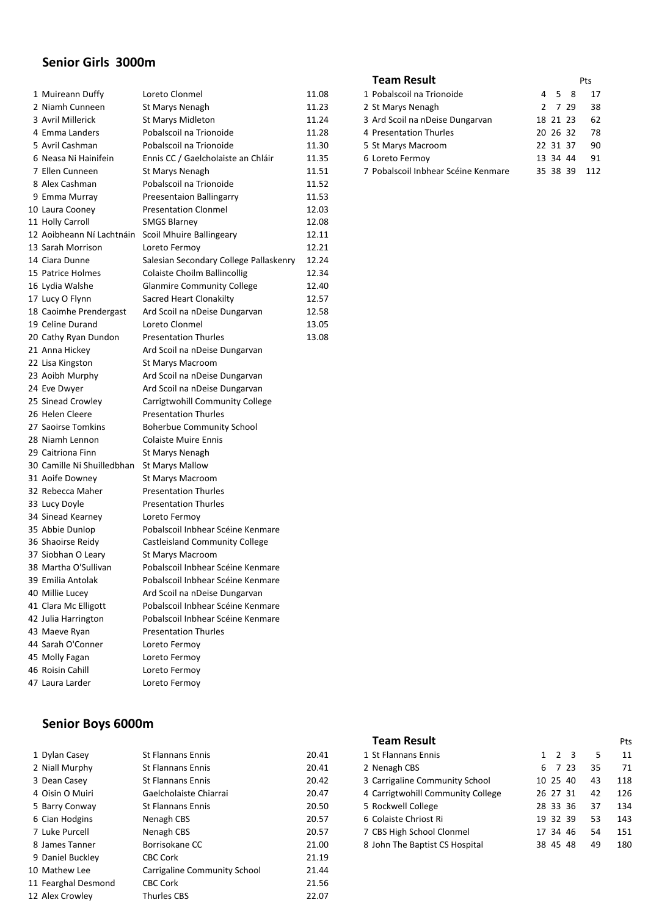### **Senior Girls 3000m**

| 1 Muireann Duffy           | Loreto Clonmel                         | 11.08 |
|----------------------------|----------------------------------------|-------|
| 2 Niamh Cunneen            | St Marys Nenagh                        | 11.23 |
| 3 Avril Millerick          | St Marys Midleton                      | 11.24 |
| 4 Emma Landers             | Pobalscoil na Trionoide                | 11.28 |
| 5 Avril Cashman            | Pobalscoil na Trionoide                | 11.30 |
| 6 Neasa Ni Hainifein       | Ennis CC / Gaelcholaiste an Chláir     | 11.35 |
| 7 Ellen Cunneen            | St Marys Nenagh                        | 11.51 |
| 8 Alex Cashman             | Pobalscoil na Trionoide                | 11.52 |
| 9 Emma Murray              | Preesentaion Ballingarry               | 11.53 |
| 10 Laura Cooney            | <b>Presentation Clonmel</b>            | 12.03 |
| 11 Holly Carroll           | <b>SMGS Blarney</b>                    | 12.08 |
| 12 Aoibheann Ní Lachtnáin  | Scoil Mhuire Ballingeary               | 12.11 |
| 13 Sarah Morrison          | Loreto Fermoy                          | 12.21 |
| 14 Ciara Dunne             | Salesian Secondary College Pallaskenry | 12.24 |
| 15 Patrice Holmes          | Colaiste Choilm Ballincollig           | 12.34 |
| 16 Lydia Walshe            | <b>Glanmire Community College</b>      | 12.40 |
| 17 Lucy O Flynn            | Sacred Heart Clonakilty                | 12.57 |
| 18 Caoimhe Prendergast     | Ard Scoil na nDeise Dungarvan          | 12.58 |
| 19 Celine Durand           | Loreto Clonmel                         | 13.05 |
| 20 Cathy Ryan Dundon       | <b>Presentation Thurles</b>            | 13.08 |
| 21 Anna Hickey             | Ard Scoil na nDeise Dungarvan          |       |
| 22 Lisa Kingston           | St Marys Macroom                       |       |
| 23 Aoibh Murphy            | Ard Scoil na nDeise Dungarvan          |       |
| 24 Eve Dwyer               | Ard Scoil na nDeise Dungarvan          |       |
| 25 Sinead Crowley          | Carrigtwohill Community College        |       |
| 26 Helen Cleere            | <b>Presentation Thurles</b>            |       |
| 27 Saoirse Tomkins         | <b>Boherbue Community School</b>       |       |
| 28 Niamh Lennon            | <b>Colaiste Muire Ennis</b>            |       |
| 29 Caitriona Finn          | St Marys Nenagh                        |       |
| 30 Camille Ni Shuilledbhan | <b>St Marys Mallow</b>                 |       |
| 31 Aoife Downey            | St Marys Macroom                       |       |
| 32 Rebecca Maher           | <b>Presentation Thurles</b>            |       |
| 33 Lucy Doyle              | <b>Presentation Thurles</b>            |       |
| 34 Sinead Kearney          | Loreto Fermoy                          |       |
| 35 Abbie Dunlop            | Pobalscoil Inbhear Scéine Kenmare      |       |
| 36 Shaoirse Reidy          | Castleisland Community College         |       |
| 37 Siobhan O Leary         | St Marys Macroom                       |       |
| 38 Martha O'Sullivan       | Pobalscoil Inbhear Scéine Kenmare      |       |
| 39 Emilia Antolak          | Pobalscoil Inbhear Scéine Kenmare      |       |
| 40 Millie Lucey            | Ard Scoil na nDeise Dungarvan          |       |
| 41 Clara Mc Elligott       | Pobalscoil Inbhear Scéine Kenmare      |       |
| 42 Julia Harrington        | Pobalscoil Inbhear Scéine Kenmare      |       |
| 43 Maeve Ryan              | <b>Presentation Thurles</b>            |       |
| 44 Sarah O'Conner          | Loreto Fermoy                          |       |
| 45 Molly Fagan             | Loreto Fermoy                          |       |
| 46 Roisin Cahill           | Loreto Fermoy                          |       |
| 47 Laura Larder            | Loreto Fermov                          |       |
|                            |                                        |       |

#### **Team Result** Pts<br>
Pobalscoil na Trionoide 4 5 8 17 11.08 1 Pobalscoil na Trionoide 11.23 2 St Marys Nenagh 2 7 29 38 11.24 3 Ard Scoil na nDeise Dungarvan 18 21 23 62<br>11.28 4 Presentation Thurles 20 26 32 78 11.28 4 Presentation Thurles 11.30 5 St Marys Macroom 22 31 37 90 11.35 6 Loreto Fermoy 13 34 44 91 11.51 7 Pobalscoil Inbhear Scéine Kenmare 35 38 39 112

#### **Team Result** Pts

| 1 St Flannans Ennis               | 2 3              | 5  | 11  |
|-----------------------------------|------------------|----|-----|
| 2 Nenagh CBS                      | 7 23<br>6        | 35 | 71  |
| 3 Carrigaline Community School    | 10 25 40         | 43 | 118 |
| 4 Carrigtwohill Community College | 26 27 31         | 42 | 126 |
| 5 Rockwell College                | 28 33 36         | 37 | 134 |
| 6 Colaiste Chriost Ri             | 19 32 39         | 53 | 143 |
| 7 CBS High School Clonmel         | 17 34 46         | 54 | 151 |
| 8 John The Baptist CS Hospital    | 45.<br>48<br>38. | 49 | 180 |

## **Senior Boys 6000m**

| 1 Dylan Casey       | <b>St Flannans Ennis</b>     | 20.41 | 1 St Flannans Ennis               | $1\quad 2$<br>3 | 5  | 11  |
|---------------------|------------------------------|-------|-----------------------------------|-----------------|----|-----|
| 2 Niall Murphy      | <b>St Flannans Ennis</b>     | 20.41 | 2 Nenagh CBS                      | 6 7 23          | 35 | 71  |
| 3 Dean Casey        | <b>St Flannans Ennis</b>     | 20.42 | 3 Carrigaline Community School    | 10 25 40        | 43 | 118 |
| 4 Oisin O Muiri     | Gaelcholaiste Chiarrai       | 20.47 | 4 Carrigtwohill Community College | 26 27 31        | 42 | 126 |
| 5 Barry Conway      | <b>St Flannans Ennis</b>     | 20.50 | 5 Rockwell College                | 28 33 36        | 37 | 134 |
| 6 Cian Hodgins      | Nenagh CBS                   | 20.57 | 6 Colaiste Chriost Ri             | 19 32 39        | 53 | 143 |
| 7 Luke Purcell      | Nenagh CBS                   | 20.57 | 7 CBS High School Clonmel         | 17 34 46        | 54 | 151 |
| 8 James Tanner      | Borrisokane CC               | 21.00 | 8 John The Baptist CS Hospital    | 38 45 48        | 49 | 180 |
| 9 Daniel Buckley    | <b>CBC Cork</b>              | 21.19 |                                   |                 |    |     |
| 10 Mathew Lee       | Carrigaline Community School | 21.44 |                                   |                 |    |     |
| 11 Fearghal Desmond | <b>CBC Cork</b>              | 21.56 |                                   |                 |    |     |
| 12 Alex Crowlev     | <b>Thurles CBS</b>           | 22.07 |                                   |                 |    |     |